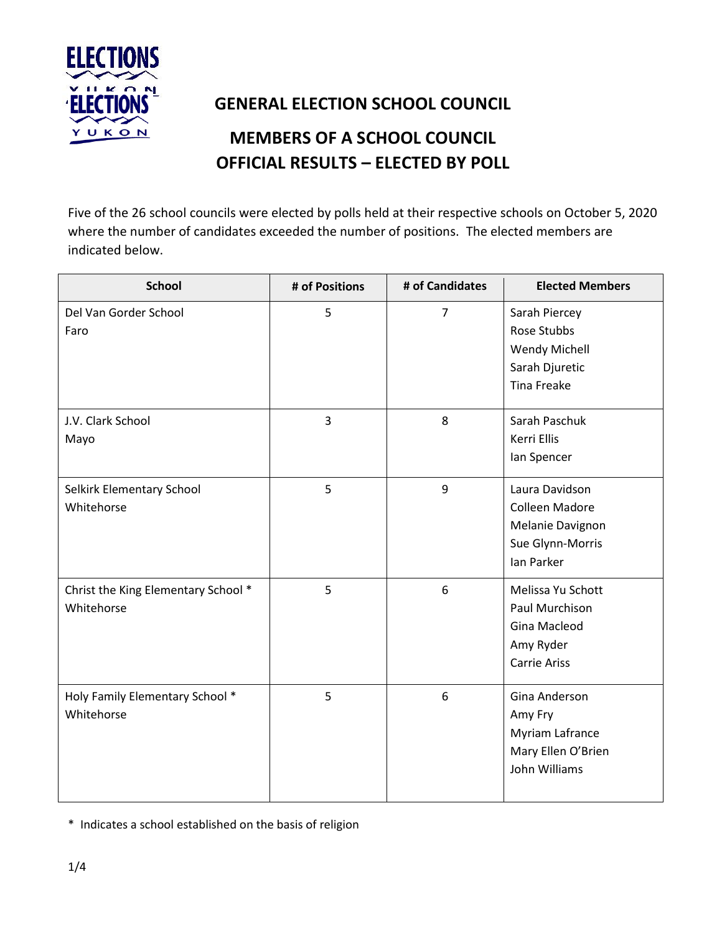

## **GENERAL ELECTION SCHOOL COUNCIL**

## **MEMBERS OF A SCHOOL COUNCIL OFFICIAL RESULTS – ELECTED BY POLL**

Five of the 26 school councils were elected by polls held at their respective schools on October 5, 2020 where the number of candidates exceeded the number of positions. The elected members are indicated below.

| <b>School</b>                                     | # of Positions | # of Candidates | <b>Elected Members</b>                                                                  |
|---------------------------------------------------|----------------|-----------------|-----------------------------------------------------------------------------------------|
| Del Van Gorder School<br>Faro                     | 5              | $\overline{7}$  | Sarah Piercey<br>Rose Stubbs<br>Wendy Michell<br>Sarah Djuretic<br><b>Tina Freake</b>   |
| J.V. Clark School<br>Mayo                         | 3              | 8               | Sarah Paschuk<br>Kerri Ellis<br>lan Spencer                                             |
| Selkirk Elementary School<br>Whitehorse           | 5              | 9               | Laura Davidson<br>Colleen Madore<br>Melanie Davignon<br>Sue Glynn-Morris<br>Ian Parker  |
| Christ the King Elementary School *<br>Whitehorse | 5              | 6               | Melissa Yu Schott<br>Paul Murchison<br>Gina Macleod<br>Amy Ryder<br><b>Carrie Ariss</b> |
| Holy Family Elementary School *<br>Whitehorse     | 5              | 6               | Gina Anderson<br>Amy Fry<br>Myriam Lafrance<br>Mary Ellen O'Brien<br>John Williams      |

\* Indicates a school established on the basis of religion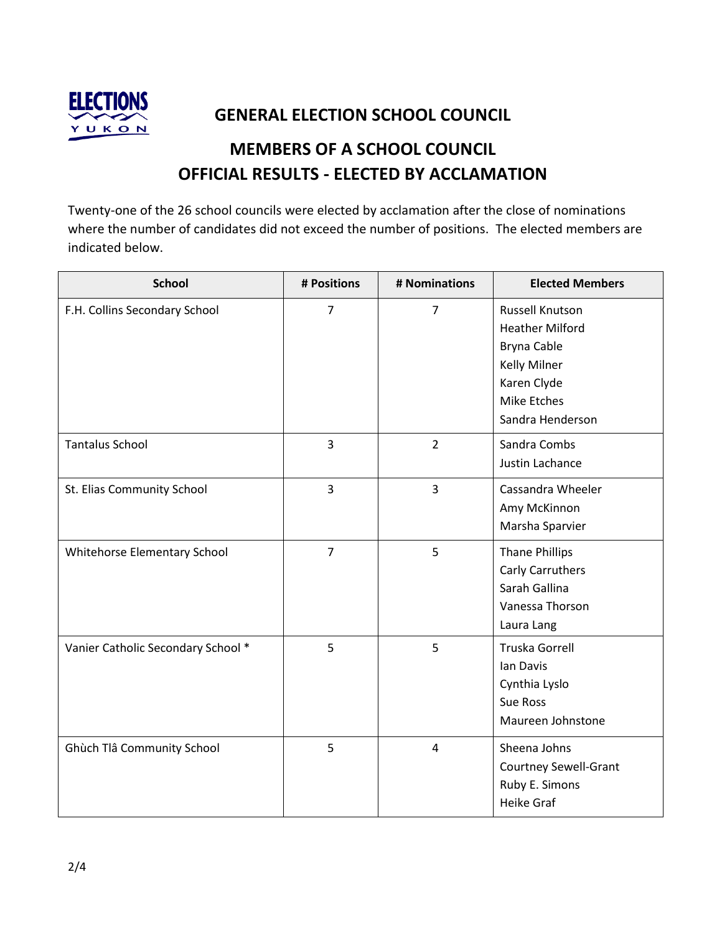

**GENERAL ELECTION SCHOOL COUNCIL**

## **MEMBERS OF A SCHOOL COUNCIL OFFICIAL RESULTS - ELECTED BY ACCLAMATION**

Twenty-one of the 26 school councils were elected by acclamation after the close of nominations where the number of candidates did not exceed the number of positions. The elected members are indicated below.

| <b>School</b>                      | # Positions    | # Nominations  | <b>Elected Members</b>                                                                                                                   |
|------------------------------------|----------------|----------------|------------------------------------------------------------------------------------------------------------------------------------------|
| F.H. Collins Secondary School      | $\overline{7}$ | $\overline{7}$ | Russell Knutson<br><b>Heather Milford</b><br>Bryna Cable<br><b>Kelly Milner</b><br>Karen Clyde<br><b>Mike Etches</b><br>Sandra Henderson |
| <b>Tantalus School</b>             | 3              | $\overline{2}$ | Sandra Combs<br>Justin Lachance                                                                                                          |
| St. Elias Community School         | 3              | $\overline{3}$ | Cassandra Wheeler<br>Amy McKinnon<br>Marsha Sparvier                                                                                     |
| Whitehorse Elementary School       | $\overline{7}$ | 5              | <b>Thane Phillips</b><br>Carly Carruthers<br>Sarah Gallina<br>Vanessa Thorson<br>Laura Lang                                              |
| Vanier Catholic Secondary School * | 5              | 5              | Truska Gorrell<br>lan Davis<br>Cynthia Lyslo<br><b>Sue Ross</b><br>Maureen Johnstone                                                     |
| Ghùch Tlâ Community School         | 5              | 4              | Sheena Johns<br><b>Courtney Sewell-Grant</b><br>Ruby E. Simons<br><b>Heike Graf</b>                                                      |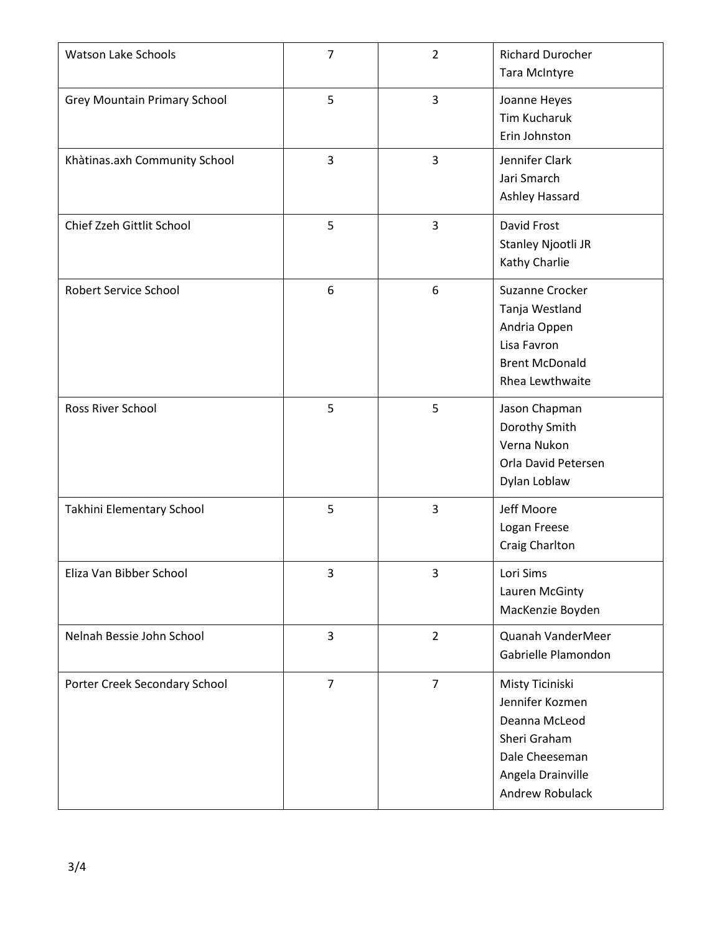| <b>Watson Lake Schools</b>          | $\overline{7}$ | $\overline{2}$ | <b>Richard Durocher</b><br><b>Tara McIntyre</b>                                                                               |
|-------------------------------------|----------------|----------------|-------------------------------------------------------------------------------------------------------------------------------|
| <b>Grey Mountain Primary School</b> | 5              | 3              | Joanne Heyes<br><b>Tim Kucharuk</b><br>Erin Johnston                                                                          |
| Khàtinas.axh Community School       | 3              | $\overline{3}$ | Jennifer Clark<br>Jari Smarch<br>Ashley Hassard                                                                               |
| Chief Zzeh Gittlit School           | 5              | $\overline{3}$ | David Frost<br>Stanley Njootli JR<br>Kathy Charlie                                                                            |
| Robert Service School               | 6              | 6              | Suzanne Crocker<br>Tanja Westland<br>Andria Oppen<br>Lisa Favron<br><b>Brent McDonald</b><br>Rhea Lewthwaite                  |
| Ross River School                   | 5              | 5              | Jason Chapman<br>Dorothy Smith<br>Verna Nukon<br>Orla David Petersen<br>Dylan Loblaw                                          |
| Takhini Elementary School           | 5              | $\overline{3}$ | Jeff Moore<br>Logan Freese<br>Craig Charlton                                                                                  |
| Eliza Van Bibber School             | 3              | 3              | Lori Sims<br>Lauren McGinty<br>MacKenzie Boyden                                                                               |
| Nelnah Bessie John School           | $\overline{3}$ | $\overline{2}$ | Quanah VanderMeer<br>Gabrielle Plamondon                                                                                      |
| Porter Creek Secondary School       | $\overline{7}$ | $\overline{7}$ | Misty Ticiniski<br>Jennifer Kozmen<br>Deanna McLeod<br>Sheri Graham<br>Dale Cheeseman<br>Angela Drainville<br>Andrew Robulack |